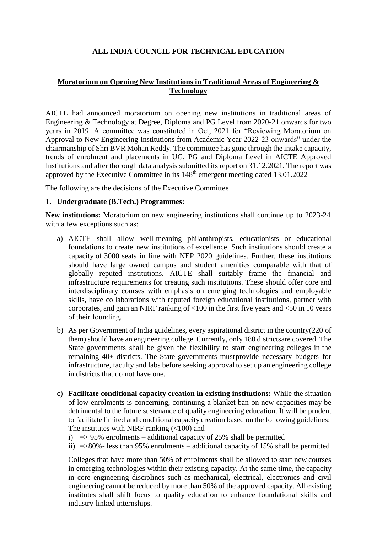# **ALL INDIA COUNCIL FOR TECHNICAL EDUCATION**

## **Moratorium on Opening New Institutions in Traditional Areas of Engineering & Technology**

AICTE had announced moratorium on opening new institutions in traditional areas of Engineering & Technology at Degree, Diploma and PG Level from 2020-21 onwards for two years in 2019. A committee was constituted in Oct, 2021 for "Reviewing Moratorium on Approval to New Engineering Institutions from Academic Year 2022-23 onwards" under the chairmanship of Shri BVR Mohan Reddy. The committee has gone through the intake capacity, trends of enrolment and placements in UG, PG and Diploma Level in AICTE Approved Institutions and after thorough data analysis submitted its report on 31.12.2021. The report was approved by the Executive Committee in its 148th emergent meeting dated 13.01.2022

The following are the decisions of the Executive Committee

### **1. Undergraduate (B.Tech.) Programmes:**

**New institutions:** Moratorium on new engineering institutions shall continue up to 2023-24 with a few exceptions such as:

- a) AICTE shall allow well-meaning philanthropists, educationists or educational foundations to create new institutions of excellence. Such institutions should create a capacity of 3000 seats in line with NEP 2020 guidelines. Further, these institutions should have large owned campus and student amenities comparable with that of globally reputed institutions. AICTE shall suitably frame the financial and infrastructure requirements for creating such institutions. These should offer core and interdisciplinary courses with emphasis on emerging technologies and employable skills, have collaborations with reputed foreign educational institutions, partner with corporates, and gain an NIRF ranking of <100 in the first five years and <50 in 10 years of their founding.
- b) As per Government of India guidelines, every aspirational district in the country(220 of them) should have an engineering college. Currently, only 180 districtsare covered. The State governments shall be given the flexibility to start engineering colleges in the remaining 40+ districts. The State governments mustprovide necessary budgets for infrastructure, faculty and labs before seeking approval to set up an engineering college in districts that do not have one.
- c) **Facilitate conditional capacity creation in existing institutions:** While the situation of low enrolments is concerning, continuing a blanket ban on new capacities may be detrimental to the future sustenance of quality engineering education. It will be prudent to facilitate limited and conditional capacity creation based on the following guidelines: The institutes with NIRF ranking  $(<100$ ) and
	- i)  $\Rightarrow$  95% enrolments additional capacity of 25% shall be permitted
	- ii) =>80%- less than 95% enrolments additional capacity of 15% shall be permitted

Colleges that have more than 50% of enrolments shall be allowed to start new courses in emerging technologies within their existing capacity. At the same time, the capacity in core engineering disciplines such as mechanical, electrical, electronics and civil engineering cannot be reduced by more than 50% of the approved capacity. All existing institutes shall shift focus to quality education to enhance foundational skills and industry-linked internships.